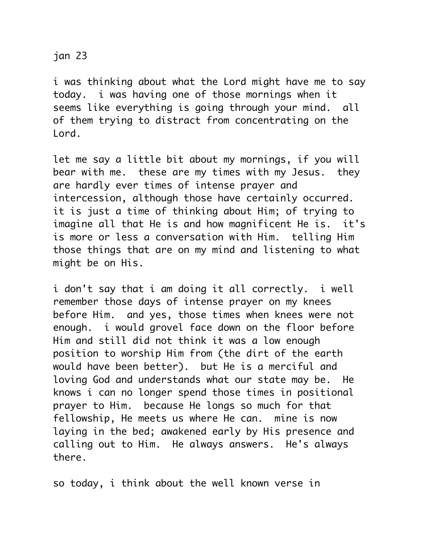## jan 23

i was thinking about what the Lord might have me to say today. i was having one of those mornings when it seems like everything is going through your mind. all of them trying to distract from concentrating on the Lord.

let me say a little bit about my mornings, if you will bear with me. these are my times with my Jesus. they are hardly ever times of intense prayer and intercession, although those have certainly occurred. it is just a time of thinking about Him; of trying to imagine all that He is and how magnificent He is. it's is more or less a conversation with Him. telling Him those things that are on my mind and listening to what might be on His.

i don't say that i am doing it all correctly. i well remember those days of intense prayer on my knees before Him. and yes, those times when knees were not enough. i would grovel face down on the floor before Him and still did not think it was a low enough position to worship Him from (the dirt of the earth would have been better). but He is a merciful and loving God and understands what our state may be. He knows i can no longer spend those times in positional prayer to Him. because He longs so much for that fellowship, He meets us where He can. mine is now laying in the bed; awakened early by His presence and calling out to Him. He always answers. He's always there.

so today, i think about the well known verse in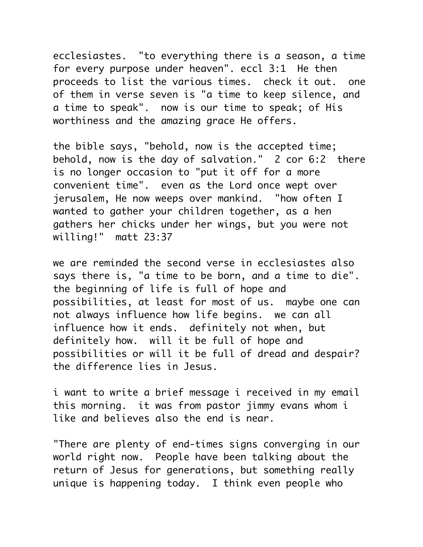ecclesiastes. "to everything there is a season, a time for every purpose under heaven". eccl 3:1 He then proceeds to list the various times. check it out. one of them in verse seven is "a time to keep silence, and a time to speak". now is our time to speak; of His worthiness and the amazing grace He offers.

the bible says, "behold, now is the accepted time; behold, now is the day of salvation." 2 cor 6:2 there is no longer occasion to "put it off for a more convenient time". even as the Lord once wept over jerusalem, He now weeps over mankind. "how often I wanted to gather your children together, as a hen gathers her chicks under her wings, but you were not willing!" matt 23:37

we are reminded the second verse in ecclesiastes also says there is, "a time to be born, and a time to die". the beginning of life is full of hope and possibilities, at least for most of us. maybe one can not always influence how life begins. we can all influence how it ends. definitely not when, but definitely how. will it be full of hope and possibilities or will it be full of dread and despair? the difference lies in Jesus.

i want to write a brief message i received in my email this morning. it was from pastor jimmy evans whom i like and believes also the end is near.

"There are plenty of end-times signs converging in our world right now. People have been talking about the return of Jesus for generations, but something really unique is happening today. I think even people who